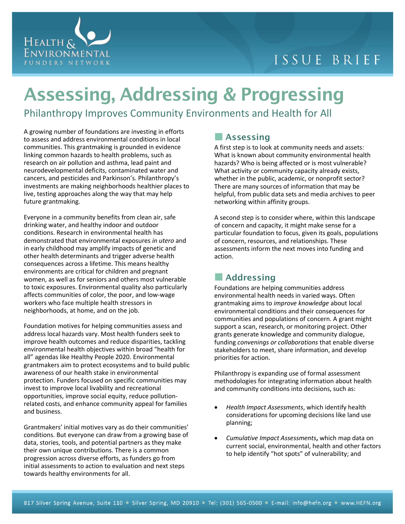

## ISSUE BRIEF

# **Assessing, Addressing & Progressing**

Philanthropy Improves Community Environments and Health for All

A growing number of foundations are investing in efforts to assess and address environmental conditions in local communities. This grantmaking is grounded in evidence linking common hazards to health problems, such as research on air pollution and asthma, lead paint and neurodevelopmental deficits, contaminated water and cancers, and pesticides and Parkinson's. Philanthropy's investments are making neighborhoods healthier places to live, testing approaches along the way that may help future grantmaking.

Everyone in a community benefits from clean air, safe drinking water, and healthy indoor and outdoor conditions. Research in environmental health has demonstrated that environmental exposures *in utero* and in early childhood may amplify impacts of genetic and other health determinants and trigger adverse health consequences across a lifetime. This means healthy environments are critical for children and pregnant women, as well as for seniors and others most vulnerable to toxic exposures. Environmental quality also particularly affects communities of color, the poor, and low-wage workers who face multiple health stressors in neighborhoods, at home, and on the job.

Foundation motives for helping communities assess and address local hazards vary. Most health funders seek to improve health outcomes and reduce disparities, tackling environmental health objectives within broad "health for all" agendas like Healthy People 2020. Environmental grantmakers aim to protect ecosystems and to build public awareness of our health stake in environmental protection. Funders focused on specific communities may invest to improve local livability and recreational opportunities, improve social equity, reduce pollutionrelated costs, and enhance community appeal for families and business.

Grantmakers' initial motives vary as do their communities' conditions. But everyone can draw from a growing base of data, stories, tools, and potential partners as they make their own unique contributions. There is a common progression across diverse efforts, as funders go from initial assessments to action to evaluation and next steps towards healthy environments for all.

### **Assessing**

A first step is to look at community needs and assets: What is known about community environmental health hazards? Who is being affected or is most vulnerable? What activity or community capacity already exists, whether in the public, academic, or nonprofit sector? There are many sources of information that may be helpful, from public data sets and media archives to peer networking within affinity groups.

A second step is to consider where, within this landscape of concern and capacity, it might make sense for a particular foundation to focus, given its goals, populations of concern, resources, and relationships. These assessments inform the next moves into funding and action.

### **Addressing**

Foundations are helping communities address environmental health needs in varied ways. Often grantmaking aims to *improve knowledge* about local environmental conditions and their consequences for communities and populations of concern. A grant might support a scan, research, or monitoring project. Other grants generate knowledge and community dialogue, funding *convenings or collaborations* that enable diverse stakeholders to meet, share information, and develop priorities for action.

Philanthropy is expanding use of formal assessment methodologies for integrating information about health and community conditions into decisions, such as:

- *Health Impact Assessments*, which identify health considerations for upcoming decisions like land use planning;
- *Cumulative Impact Assessments***,** which map data on current social, environmental, health and other factors to help identify "hot spots" of vulnerability; and